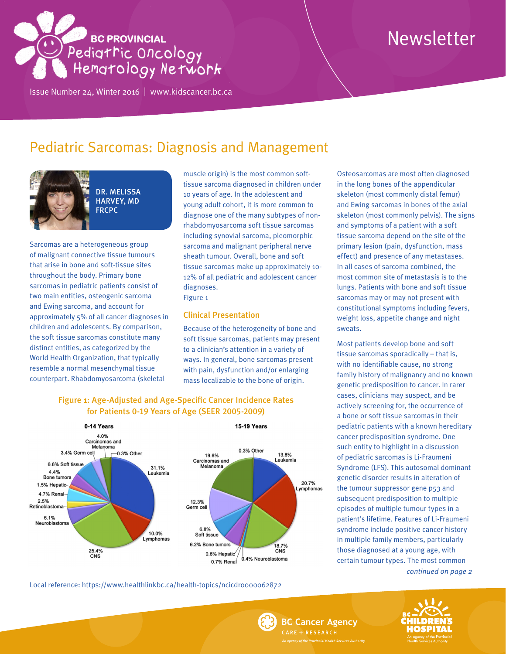# **BC PROVINCIAL** Pedigtric Oncology<br>Pedigtric Oncology

Issue Number 24, Winter 2016 | <www.kidscancer.bc.ca>

# Newsletter

## Pediatric Sarcomas: Diagnosis and Management



DR. MELISSA HARVEY, MD **FRCPC** 

Sarcomas are a heterogeneous group of malignant connective tissue tumours that arise in bone and soft-tissue sites throughout the body. Primary bone sarcomas in pediatric patients consist of two main entities, osteogenic sarcoma and Ewing sarcoma, and account for approximately 5% of all cancer diagnoses in children and adolescents. By comparison, the soft tissue sarcomas constitute many distinct entities, as categorized by the World Health Organization, that typically resemble a normal mesenchymal tissue counterpart. Rhabdomyosarcoma (skeletal

muscle origin) is the most common softtissue sarcoma diagnosed in children under 10 years of age. In the adolescent and young adult cohort, it is more common to diagnose one of the many subtypes of nonrhabdomyosarcoma soft tissue sarcomas including synovial sarcoma, pleomorphic sarcoma and malignant peripheral nerve sheath tumour. Overall, bone and soft tissue sarcomas make up approximately 10- 12% of all pediatric and adolescent cancer diagnoses.

Figure 1

#### Clinical Presentation

Because of the heterogeneity of bone and soft tissue sarcomas, patients may present to a clinician's attention in a variety of ways. In general, bone sarcomas present with pain, dysfunction and/or enlarging mass localizable to the bone of origin.



#### Figure 1: Age-Adjusted and Age-Specific Cancer Incidence Rates for Patients 0-19 Years of Age (SEER 2005-2009)

Local reference: https://www.healthlinkbc.ca/health-topics/ncicdro000062872

Osteosarcomas are most often diagnosed in the long bones of the appendicular skeleton (most commonly distal femur) and Ewing sarcomas in bones of the axial skeleton (most commonly pelvis). The signs and symptoms of a patient with a soft tissue sarcoma depend on the site of the primary lesion (pain, dysfunction, mass effect) and presence of any metastases. In all cases of sarcoma combined, the most common site of metastasis is to the lungs. Patients with bone and soft tissue sarcomas may or may not present with constitutional symptoms including fevers, weight loss, appetite change and night sweats.

*continued on page 2* Most patients develop bone and soft tissue sarcomas sporadically – that is, with no identifiable cause, no strong family history of malignancy and no known genetic predisposition to cancer. In rarer cases, clinicians may suspect, and be actively screening for, the occurrence of a bone or soft tissue sarcomas in their pediatric patients with a known hereditary cancer predisposition syndrome. One such entity to highlight in a discussion of pediatric sarcomas is Li-Fraumeni Syndrome (LFS). This autosomal dominant genetic disorder results in alteration of the tumour suppressor gene p53 and subsequent predisposition to multiple episodes of multiple tumour types in a patient's lifetime. Features of Li-Fraumeni syndrome include positive cancer history in multiple family members, particularly those diagnosed at a young age, with certain tumour types. The most common

**BC Cancer Agency** CARE + RESEARCH

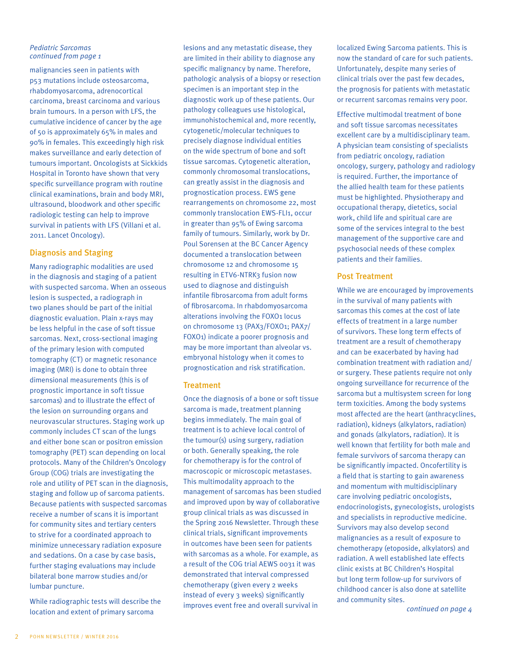#### *Pediatric Sarcomas continued from page 1*

malignancies seen in patients with p53 mutations include osteosarcoma, rhabdomyosarcoma, adrenocortical carcinoma, breast carcinoma and various brain tumours. In a person with LFS, the cumulative incidence of cancer by the age of 50 is approximately 65% in males and 90% in females. This exceedingly high risk makes surveillance and early detection of tumours important. Oncologists at Sickkids Hospital in Toronto have shown that very specific surveillance program with routine clinical examinations, brain and body MRI, ultrasound, bloodwork and other specific radiologic testing can help to improve survival in patients with LFS (Villani et al. 2011. Lancet Oncology).

#### Diagnosis and Staging

Many radiographic modalities are used in the diagnosis and staging of a patient with suspected sarcoma. When an osseous lesion is suspected, a radiograph in two planes should be part of the initial diagnostic evaluation. Plain x-rays may be less helpful in the case of soft tissue sarcomas. Next, cross-sectional imaging of the primary lesion with computed tomography (CT) or magnetic resonance imaging (MRI) is done to obtain three dimensional measurements (this is of prognostic importance in soft tissue sarcomas) and to illustrate the effect of the lesion on surrounding organs and neurovascular structures. Staging work up commonly includes CT scan of the lungs and either bone scan or positron emission tomography (PET) scan depending on local protocols. Many of the Children's Oncology Group (COG) trials are investigating the role and utility of PET scan in the diagnosis, staging and follow up of sarcoma patients. Because patients with suspected sarcomas receive a number of scans it is important for community sites and tertiary centers to strive for a coordinated approach to minimize unnecessary radiation exposure and sedations. On a case by case basis, further staging evaluations may include bilateral bone marrow studies and/or lumbar puncture.

While radiographic tests will describe the location and extent of primary sarcoma

lesions and any metastatic disease, they are limited in their ability to diagnose any specific malignancy by name. Therefore, pathologic analysis of a biopsy or resection specimen is an important step in the diagnostic work up of these patients. Our pathology colleagues use histological, immunohistochemical and, more recently, cytogenetic/molecular techniques to precisely diagnose individual entities on the wide spectrum of bone and soft tissue sarcomas. Cytogenetic alteration, commonly chromosomal translocations, can greatly assist in the diagnosis and prognostication process. EWS gene rearrangements on chromosome 22, most commonly translocation EWS-FLI1, occur in greater than 95% of Ewing sarcoma family of tumours. Similarly, work by Dr. Poul Sorensen at the BC Cancer Agency documented a translocation between chromosome 12 and chromosome 15 resulting in ETV6-NTRK3 fusion now used to diagnose and distinguish infantile fibrosarcoma from adult forms of fibrosarcoma. In rhabdomyosarcoma alterations involving the FOXO1 locus on chromosome 13 (PAX3/FOXO1; PAX7/ FOXO1) indicate a poorer prognosis and may be more important than alveolar vs. embryonal histology when it comes to prognostication and risk stratification.

#### **Treatment**

Once the diagnosis of a bone or soft tissue sarcoma is made, treatment planning begins immediately. The main goal of treatment is to achieve local control of the tumour(s) using surgery, radiation or both. Generally speaking, the role for chemotherapy is for the control of macroscopic or microscopic metastases. This multimodality approach to the management of sarcomas has been studied and improved upon by way of collaborative group clinical trials as was discussed in the Spring 2016 Newsletter. Through these clinical trials, significant improvements in outcomes have been seen for patients with sarcomas as a whole. For example, as a result of the COG trial AEWS 0031 it was demonstrated that interval compressed chemotherapy (given every 2 weeks instead of every 3 weeks) significantly improves event free and overall survival in

localized Ewing Sarcoma patients. This is now the standard of care for such patients. Unfortunately, despite many series of clinical trials over the past few decades, the prognosis for patients with metastatic or recurrent sarcomas remains very poor.

Effective multimodal treatment of bone and soft tissue sarcomas necessitates excellent care by a multidisciplinary team. A physician team consisting of specialists from pediatric oncology, radiation oncology, surgery, pathology and radiology is required. Further, the importance of the allied health team for these patients must be highlighted. Physiotherapy and occupational therapy, dietetics, social work, child life and spiritual care are some of the services integral to the best management of the supportive care and psychosocial needs of these complex patients and their families.

#### Post Treatment

While we are encouraged by improvements in the survival of many patients with sarcomas this comes at the cost of late effects of treatment in a large number of survivors. These long term effects of treatment are a result of chemotherapy and can be exacerbated by having had combination treatment with radiation and/ or surgery. These patients require not only ongoing surveillance for recurrence of the sarcoma but a multisystem screen for long term toxicities. Among the body systems most affected are the heart (anthracyclines, radiation), kidneys (alkylators, radiation) and gonads (alkylators, radiation). It is well known that fertility for both male and female survivors of sarcoma therapy can be significantly impacted. Oncofertility is a field that is starting to gain awareness and momentum with multidisciplinary care involving pediatric oncologists, endocrinologists, gynecologists, urologists and specialists in reproductive medicine. Survivors may also develop second malignancies as a result of exposure to chemotherapy (etoposide, alkylators) and radiation. A well established late effects clinic exists at BC Children's Hospital but long term follow-up for survivors of childhood cancer is also done at satellite and community sites.

*continued on page 4*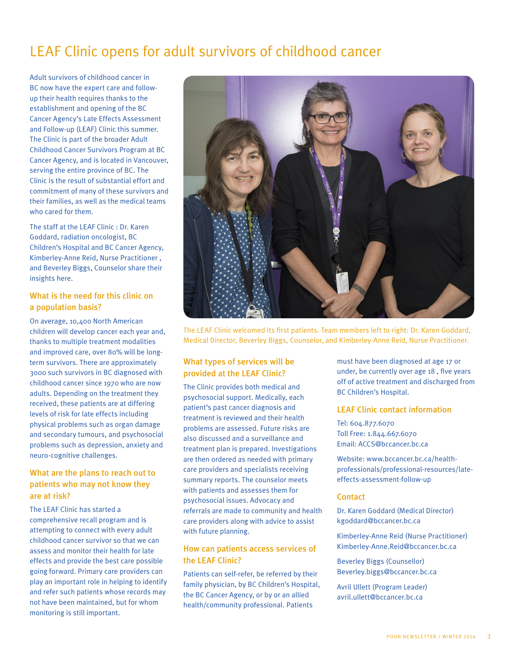# LEAF Clinic opens for adult survivors of childhood cancer

Adult survivors of childhood cancer in BC now have the expert care and followup their health requires thanks to the establishment and opening of the BC Cancer Agency's Late Effects Assessment and Follow-up (LEAF) Clinic this summer. The Clinic is part of the broader Adult Childhood Cancer Survivors Program at BC Cancer Agency, and is located in Vancouver, serving the entire province of BC. The Clinic is the result of substantial effort and commitment of many of these survivors and their families, as well as the medical teams who cared for them.

The staff at the LEAF Clinic : Dr. Karen Goddard, radiation oncologist, BC Children's Hospital and BC Cancer Agency, Kimberley-Anne Reid, Nurse Practitioner , and Beverley Biggs, Counselor share their insights here.

#### What is the need for this clinic on a population basis?

On average, 10,400 North American children will develop cancer each year and, thanks to multiple treatment modalities and improved care, over 80% will be longterm survivors. There are approximately 3000 such survivors in BC diagnosed with childhood cancer since 1970 who are now adults. Depending on the treatment they received, these patients are at differing levels of risk for late effects including physical problems such as organ damage and secondary tumours, and psychosocial problems such as depression, anxiety and neuro-cognitive challenges.

#### What are the plans to reach out to patients who may not know they are at risk?

The LEAF Clinic has started a comprehensive recall program and is attempting to connect with every adult childhood cancer survivor so that we can assess and monitor their health for late effects and provide the best care possible going forward. Primary care providers can play an important role in helping to identify and refer such patients whose records may not have been maintained, but for whom monitoring is still important.



The LEAF Clinic welcomed its first patients. Team members left to right: Dr. Karen Goddard, Medical Director, Beverley Biggs, Counselor, and Kimberley-Anne Reid, Nurse Practitioner.

#### What types of services will be provided at the LEAF Clinic?

The Clinic provides both medical and psychosocial support. Medically, each patient's past cancer diagnosis and treatment is reviewed and their health problems are assessed. Future risks are also discussed and a surveillance and treatment plan is prepared. Investigations are then ordered as needed with primary care providers and specialists receiving summary reports. The counselor meets with patients and assesses them for psychosocial issues. Advocacy and referrals are made to community and health care providers along with advice to assist with future planning.

#### How can patients access services of the LEAF Clinic?

Patients can self-refer, be referred by their family physician, by BC Children's Hospital, the BC Cancer Agency, or by or an allied health/community professional. Patients

must have been diagnosed at age 17 or under, be currently over age 18 , five years off of active treatment and discharged from BC Children's Hospital.

#### LEAF Clinic contact information

Tel: 604.877.6070 Toll Free: 1.844.667.6070 Email: [ACCS@bccancer.bc.ca](mailto:ACCS@bccancer.bc.ca)

Website: [www.bccancer.bc.ca/health](http://www.bccancer.bc.ca/health-professionals/professional-resources/late-effects-assessment-follow-up)[professionals/professional-resources/late](http://www.bccancer.bc.ca/health-professionals/professional-resources/late-effects-assessment-follow-up)effects-assessment-follow-up

#### **Contact**

Dr. Karen Goddard (Medical Director) [kgoddard@bccancer.bc.ca](mailto:kgoddard@bccancer.bc.ca)

Kimberley-Anne Reid (Nurse Practitioner) [Kimberley-Anne.Reid@bccancer.bc.ca](mailto:Kimberley-Anne.Reid@bccancer.bc.ca)

Beverley Biggs (Counsellor) [Beverley.biggs@bccancer.bc.ca](mailto:Beverley.biggs@bccancer.bc.ca)

Avril Ullett (Program Leader) [avril.ullett@bccancer.bc.ca](mailto:avril.ullett@bccancer.bc.ca)